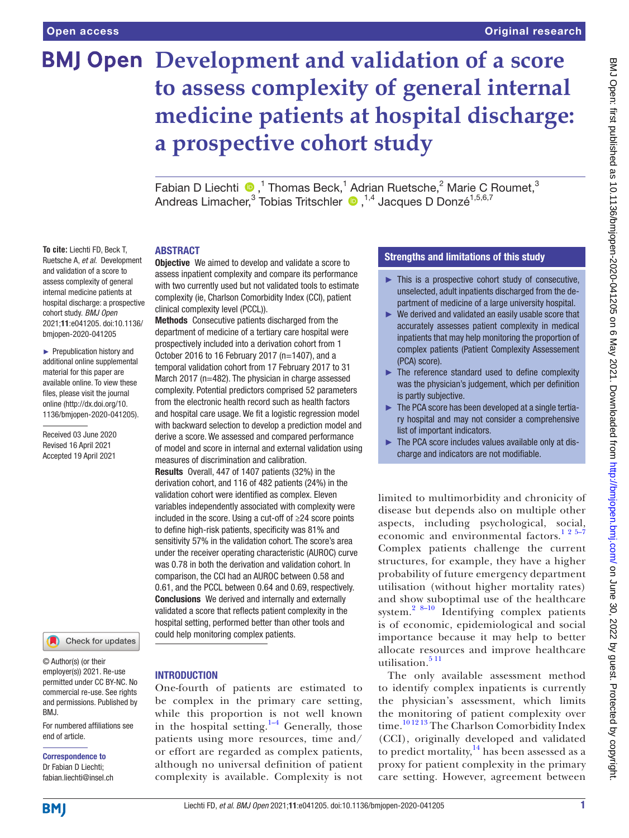# **BMJ Open Development and validation of a score to assess complexity of general internal medicine patients at hospital discharge: a prospective cohort study**

FabianD Liechti  $\bigcirc$ ,<sup>1</sup> Thomas Beck,<sup>1</sup> Adrian Ruetsche,<sup>2</sup> Marie C Roumet,<sup>3</sup> AndreasLimacher,<sup>3</sup> Tobias Tritschler (D, <sup>1,4</sup> Jacques D Donzé<sup>1,5,6,7</sup>

#### ABSTRACT

**To cite:** Liechti FD, Beck T, Ruetsche A, *et al*. Development and validation of a score to assess complexity of general internal medicine patients at hospital discharge: a prospective cohort study. *BMJ Open* 2021;11:e041205. doi:10.1136/ bmjopen-2020-041205

► Prepublication history and additional online supplemental material for this paper are available online. To view these files, please visit the journal online [\(http://dx.doi.org/10.](http://dx.doi.org/10.1136/bmjopen-2020-041205) [1136/bmjopen-2020-041205\)](http://dx.doi.org/10.1136/bmjopen-2020-041205).

Received 03 June 2020 Revised 16 April 2021 Accepted 19 April 2021



© Author(s) (or their employer(s)) 2021. Re-use permitted under CC BY-NC. No commercial re-use. See rights and permissions. Published by BMJ.

For numbered affiliations see end of article.

Correspondence to Dr Fabian D Liechti; fabian.liechti@insel.ch

**Objective** We aimed to develop and validate a score to assess inpatient complexity and compare its performance with two currently used but not validated tools to estimate complexity (ie, Charlson Comorbidity Index (CCI), patient

clinical complexity level (PCCL)). Methods Consecutive patients discharged from the department of medicine of a tertiary care hospital were prospectively included into a derivation cohort from 1 October 2016 to 16 February 2017 (n=1407), and a temporal validation cohort from 17 February 2017 to 31 March 2017 (n=482). The physician in charge assessed complexity. Potential predictors comprised 52 parameters from the electronic health record such as health factors and hospital care usage. We fit a logistic regression model with backward selection to develop a prediction model and derive a score. We assessed and compared performance of model and score in internal and external validation using measures of discrimination and calibration.

Results Overall, 447 of 1407 patients (32%) in the derivation cohort, and 116 of 482 patients (24%) in the validation cohort were identified as complex. Eleven variables independently associated with complexity were included in the score. Using a cut-off of ≥24 score points to define high-risk patients, specificity was 81% and sensitivity 57% in the validation cohort. The score's area under the receiver operating characteristic (AUROC) curve was 0.78 in both the derivation and validation cohort. In comparison, the CCI had an AUROC between 0.58 and 0.61, and the PCCL between 0.64 and 0.69, respectively. Conclusions We derived and internally and externally validated a score that reflects patient complexity in the hospital setting, performed better than other tools and could help monitoring complex patients.

#### **INTRODUCTION**

One-fourth of patients are estimated to be complex in the primary care setting, while this proportion is not well known in the hospital setting.<sup>1-4</sup> Generally, those patients using more resources, time and/ or effort are regarded as complex patients, although no universal definition of patient complexity is available. Complexity is not

# Strengths and limitations of this study

- $\blacktriangleright$  This is a prospective cohort study of consecutive. unselected, adult inpatients discharged from the department of medicine of a large university hospital.
- ► We derived and validated an easily usable score that accurately assesses patient complexity in medical inpatients that may help monitoring the proportion of complex patients (Patient Complexity Assessement (PCA) score).
- $\blacktriangleright$  The reference standard used to define complexity was the physician's judgement, which per definition is partly subjective.
- ► The PCA score has been developed at a single tertiary hospital and may not consider a comprehensive list of important indicators.
- ► The PCA score includes values available only at discharge and indicators are not modifiable.

limited to multimorbidity and chronicity of disease but depends also on multiple other aspects, including psychological, social, economic and environmental factors.<sup>125-7</sup> Complex patients challenge the current structures, for example, they have a higher probability of future emergency department utilisation (without higher mortality rates) and show suboptimal use of the healthcare system.[2 8–10](#page-8-1) Identifying complex patients is of economic, epidemiological and social importance because it may help to better allocate resources and improve healthcare utilisation. $511$ 

The only available assessment method to identify complex inpatients is currently the physician's assessment, which limits the monitoring of patient complexity over time.<sup>[10 12 13](#page-8-3)</sup> The Charlson Comorbidity Index (CCI), originally developed and validated to predict mortality,  $14$  has been assessed as a proxy for patient complexity in the primary care setting. However, agreement between

**BMI**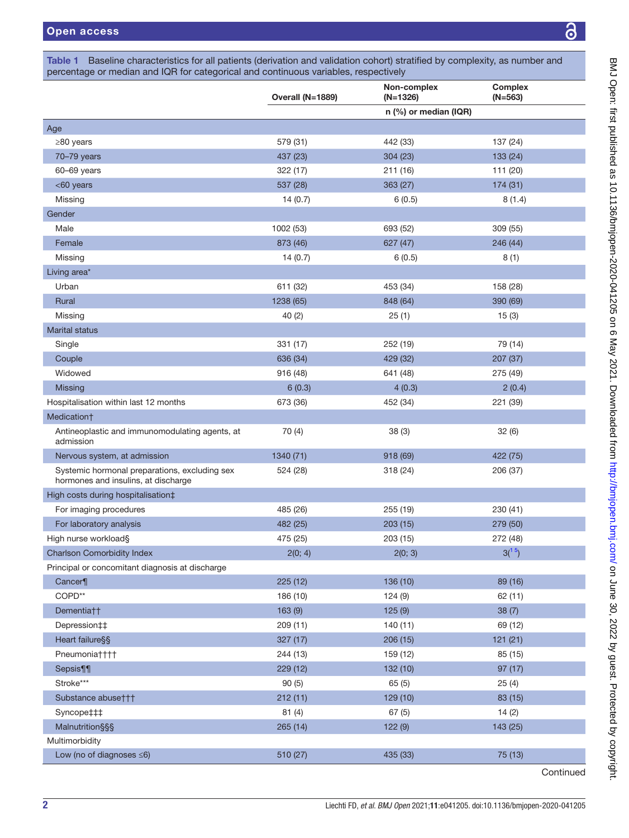<span id="page-1-0"></span>

|                                                                                      | Overall (N=1889) | Non-complex<br>$(N=1326)$ | <b>Complex</b><br>$(N=563)$ |  |
|--------------------------------------------------------------------------------------|------------------|---------------------------|-----------------------------|--|
|                                                                                      |                  | n (%) or median (IQR)     |                             |  |
| Age                                                                                  |                  |                           |                             |  |
| ≥80 years                                                                            | 579 (31)         | 442 (33)                  | 137 (24)                    |  |
| 70-79 years                                                                          | 437 (23)         | 304 (23)                  | 133 (24)                    |  |
| 60-69 years                                                                          | 322 (17)         | 211 (16)                  | 111 (20)                    |  |
| <60 years                                                                            | 537 (28)         | 363 (27)                  | 174 (31)                    |  |
| Missing                                                                              | 14(0.7)          | 6(0.5)                    | 8(1.4)                      |  |
| Gender                                                                               |                  |                           |                             |  |
| Male                                                                                 | 1002 (53)        | 693 (52)                  | 309 (55)                    |  |
| Female                                                                               | 873 (46)         | 627 (47)                  | 246 (44)                    |  |
| Missing                                                                              | 14(0.7)          | 6(0.5)                    | 8(1)                        |  |
| Living area*                                                                         |                  |                           |                             |  |
| Urban                                                                                | 611 (32)         | 453 (34)                  | 158 (28)                    |  |
| Rural                                                                                | 1238 (65)        | 848 (64)                  | 390 (69)                    |  |
| Missing                                                                              | 40(2)            | 25(1)                     | 15(3)                       |  |
| Marital status                                                                       |                  |                           |                             |  |
| Single                                                                               | 331 (17)         | 252 (19)                  | 79 (14)                     |  |
| Couple                                                                               | 636 (34)         | 429 (32)                  | 207 (37)                    |  |
| Widowed                                                                              | 916 (48)         | 641 (48)                  | 275 (49)                    |  |
| Missing                                                                              | 6(0.3)           | 4(0.3)                    | 2(0.4)                      |  |
| Hospitalisation within last 12 months                                                | 673 (36)         | 452 (34)                  | 221 (39)                    |  |
| Medication†                                                                          |                  |                           |                             |  |
| Antineoplastic and immunomodulating agents, at<br>admission                          | 70 (4)           | 38(3)                     | 32(6)                       |  |
| Nervous system, at admission                                                         | 1340 (71)        | 918 (69)                  | 422 (75)                    |  |
| Systemic hormonal preparations, excluding sex<br>hormones and insulins, at discharge | 524 (28)         | 318 (24)                  | 206 (37)                    |  |
| High costs during hospitalisation‡                                                   |                  |                           |                             |  |
| For imaging procedures                                                               | 485 (26)         | 255 (19)                  | 230 (41)                    |  |
| For laboratory analysis                                                              | 482 (25)         | 203(15)                   | 279 (50)                    |  |
| High nurse workload§                                                                 | 475 (25)         | 203 (15)                  | 272 (48)                    |  |
| <b>Charlson Comorbidity Index</b>                                                    | 2(0; 4)          | 2(0; 3)                   | 3 <sup>(15)</sup>           |  |
| Principal or concomitant diagnosis at discharge                                      |                  |                           |                             |  |
| Cancer¶                                                                              | 225 (12)         | 136 (10)                  | 89 (16)                     |  |
| $\mathsf{COPD}^{**}$                                                                 | 186 (10)         | 124(9)                    | 62 (11)                     |  |
| Dementia††                                                                           | 163(9)           | 125(9)                    | 38(7)                       |  |
| Depression##                                                                         | 209(11)          | 140(11)                   | 69 (12)                     |  |
| Heart failure§§                                                                      | 327(17)          | 206(15)                   | 121(21)                     |  |
| Pneumonia††††                                                                        | 244 (13)         | 159 (12)                  | 85 (15)                     |  |
| Sepsis¶¶                                                                             | 229 (12)         | 132 (10)                  | 97(17)                      |  |
| Stroke***                                                                            | 90(5)            | 65(5)                     | 25(4)                       |  |
| Substance abuse†††                                                                   | 212(11)          | 129 (10)                  | 83 (15)                     |  |
| Syncope‡‡‡                                                                           | 81(4)            | 67(5)                     | 14(2)                       |  |
| <b>Malnutrition§§§</b>                                                               | 265 (14)         | 122(9)                    | 143 (25)                    |  |
| Multimorbidity                                                                       |                  |                           |                             |  |
| Low (no of diagnoses $\leq 6$ )                                                      | 510 (27)         | 435 (33)                  | 75 (13)                     |  |
|                                                                                      |                  |                           | Continued                   |  |

<u>යි</u>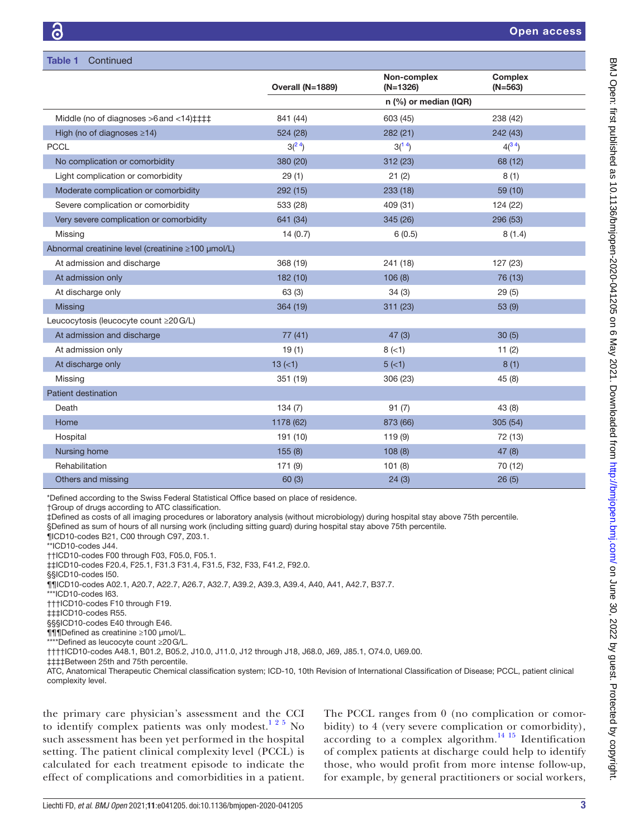|                                                            | Overall (N=1889)  | Non-complex<br>$(N=1326)$ | <b>Complex</b><br>$(N=563)$ |  |
|------------------------------------------------------------|-------------------|---------------------------|-----------------------------|--|
|                                                            |                   | n $(\%)$ or median (IQR)  |                             |  |
| Middle (no of diagnoses $>6$ and $<14$ ) $\pm$ $\pm$ $\pm$ | 841 (44)          | 603 (45)                  | 238 (42)                    |  |
| High (no of diagnoses $\geq$ 14)                           | 524 (28)          | 282(21)                   | 242 (43)                    |  |
| <b>PCCL</b>                                                | 3 <sup>(24)</sup> | $3(^{14})$                | $4(^{34})$                  |  |
| No complication or comorbidity                             | 380 (20)          | 312 (23)                  | 68 (12)                     |  |
| Light complication or comorbidity                          | 29(1)             | 21(2)                     | 8(1)                        |  |
| Moderate complication or comorbidity                       | 292 (15)          | 233(18)                   | 59 (10)                     |  |
| Severe complication or comorbidity                         | 533 (28)          | 409 (31)                  | 124 (22)                    |  |
| Very severe complication or comorbidity                    | 641 (34)          | 345 (26)                  | 296 (53)                    |  |
| Missing                                                    | 14(0.7)           | 6(0.5)                    | 8(1.4)                      |  |
| Abnormal creatinine level (creatinine ≥100 µmol/L)         |                   |                           |                             |  |
| At admission and discharge                                 | 368 (19)          | 241 (18)                  | 127 (23)                    |  |
| At admission only                                          | 182(10)           | 106(8)                    | 76 (13)                     |  |
| At discharge only                                          | 63(3)             | 34(3)                     | 29(5)                       |  |
| <b>Missing</b>                                             | 364 (19)          | 311(23)                   | 53(9)                       |  |
| Leucocytosis (leucocyte count ≥20 G/L)                     |                   |                           |                             |  |
| At admission and discharge                                 | 77(41)            | 47(3)                     | 30(5)                       |  |
| At admission only                                          | 19(1)             | $8 (=1)$                  | 11(2)                       |  |
| At discharge only                                          | $13 (=1)$         | 5(<1)                     | 8(1)                        |  |
| Missing                                                    | 351 (19)          | 306 (23)                  | 45(8)                       |  |
| Patient destination                                        |                   |                           |                             |  |
| Death                                                      | 134(7)            | 91(7)                     | 43(8)                       |  |
| Home                                                       | 1178 (62)         | 873 (66)                  | 305(54)                     |  |
| Hospital                                                   | 191 (10)          | 119(9)                    | 72 (13)                     |  |
| Nursing home                                               | 155(8)            | 108(8)                    | 47(8)                       |  |
| Rehabilitation                                             | 171(9)            | 101(8)                    | 70 (12)                     |  |
| Others and missing                                         | 60(3)             | 24(3)                     | 26(5)                       |  |

\*Defined according to the Swiss Federal Statistical Office based on place of residence.

†Group of drugs according to ATC classification.

‡Defined as costs of all imaging procedures or laboratory analysis (without microbiology) during hospital stay above 75th percentile.

§Defined as sum of hours of all nursing work (including sitting guard) during hospital stay above 75th percentile.

¶ICD10-codes B21, C00 through C97, Z03.1.

\*\*ICD10-codes J44.

††ICD10-codes F00 through F03, F05.0, F05.1.

‡‡ICD10-codes F20.4, F25.1, F31.3 F31.4, F31.5, F32, F33, F41.2, F92.0.

§§ICD10-codes I50.

¶¶ICD10-codes A02.1, A20.7, A22.7, A26.7, A32.7, A39.2, A39.3, A39.4, A40, A41, A42.7, B37.7.

\*\*\*ICD10-codes I63.

†††ICD10-codes F10 through F19.

‡‡‡ICD10-codes R55.

§§§ICD10-codes E40 through E46.

¶¶¶Defined as creatinine ≥100 µmol/L.

\*\*\*\*Defined as leucocyte count ≥20G/L.

††††ICD10-codes A48.1, B01.2, B05.2, J10.0, J11.0, J12 through J18, J68.0, J69, J85.1, O74.0, U69.00.

‡‡‡‡Between 25th and 75th percentile.

ATC, Anatomical Therapeutic Chemical classification system; ICD-10, 10th Revision of International Classification of Disease; PCCL, patient clinical complexity level.

the primary care physician's assessment and the CCI to identify complex patients was only modest.<sup>1 2 5</sup> No such assessment has been yet performed in the hospital setting. The patient clinical complexity level (PCCL) is calculated for each treatment episode to indicate the effect of complications and comorbidities in a patient.

The PCCL ranges from 0 (no complication or comorbidity) to 4 (very severe complication or comorbidity), according to a complex algorithm. $^{14}$  15 Identification of complex patients at discharge could help to identify those, who would profit from more intense follow-up, for example, by general practitioners or social workers,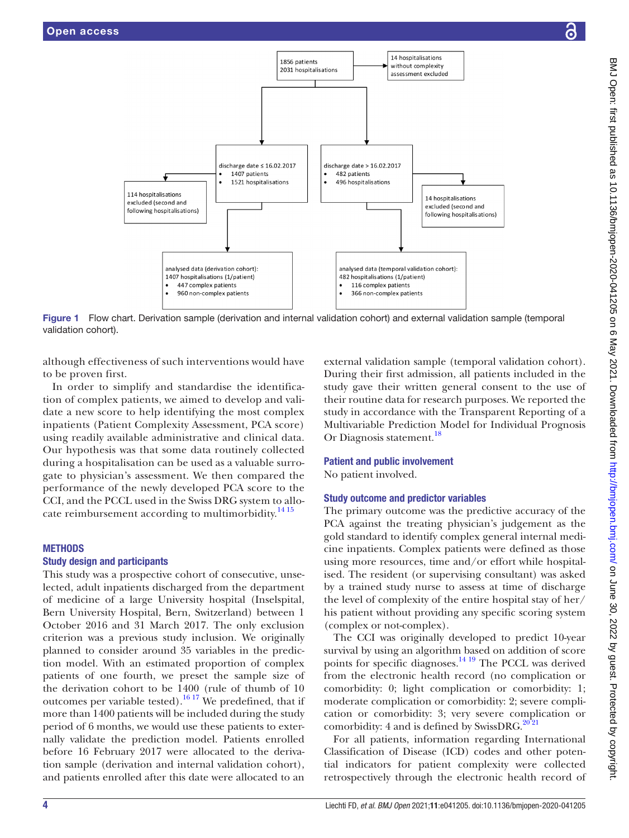

BMJ Open: first published as 10.1136/bmjopen-2020-041205 on 6 May 2021. Downloaded from Dumdaded from op. June 30, 2022 by guest. Protected by copyright.

BMJ Open: first published as 10.1136/bmjopen-2020-041205 on 6 May 2021. Downloaded from http://bmjopen.bmj.com/ on June 30, 2022 by guest. Protected by copyright



Figure 1 Flow chart. Derivation sample (derivation and internal validation cohort) and external validation sample (temporal validation cohort).

although effectiveness of such interventions would have to be proven first.

In order to simplify and standardise the identification of complex patients, we aimed to develop and validate a new score to help identifying the most complex inpatients (Patient Complexity Assessment, PCA score) using readily available administrative and clinical data. Our hypothesis was that some data routinely collected during a hospitalisation can be used as a valuable surrogate to physician's assessment. We then compared the performance of the newly developed PCA score to the CCI, and the PCCL used in the Swiss DRG system to allo-cate reimbursement according to multimorbidity.<sup>[14 15](#page-8-4)</sup>

## **METHODS**

# Study design and participants

This study was a prospective cohort of consecutive, unselected, adult inpatients discharged from the department of medicine of a large University hospital (Inselspital, Bern University Hospital, Bern, Switzerland) between 1 October 2016 and 31 March 2017. The only exclusion criterion was a previous study inclusion. We originally planned to consider around 35 variables in the prediction model. With an estimated proportion of complex patients of one fourth, we preset the sample size of the derivation cohort to be 1400 (rule of thumb of 10 outcomes per variable tested).<sup>16 17</sup> We predefined, that if more than 1400 patients will be included during the study period of 6 months, we would use these patients to externally validate the prediction model. Patients enrolled before 16 February 2017 were allocated to the derivation sample (derivation and internal validation cohort), and patients enrolled after this date were allocated to an

<span id="page-3-0"></span>external validation sample (temporal validation cohort). During their first admission, all patients included in the study gave their written general consent to the use of their routine data for research purposes. We reported the study in accordance with the Transparent Reporting of a Multivariable Prediction Model for Individual Prognosis Or Diagnosis statement.<sup>18</sup>

#### Patient and public involvement

No patient involved.

# Study outcome and predictor variables

The primary outcome was the predictive accuracy of the PCA against the treating physician's judgement as the gold standard to identify complex general internal medicine inpatients. Complex patients were defined as those using more resources, time and/or effort while hospitalised. The resident (or supervising consultant) was asked by a trained study nurse to assess at time of discharge the level of complexity of the entire hospital stay of her/ his patient without providing any specific scoring system (complex or not-complex).

The CCI was originally developed to predict 10-year survival by using an algorithm based on addition of score points for specific diagnoses.<sup>[14 19](#page-8-4)</sup> The PCCL was derived from the electronic health record (no complication or comorbidity: 0; light complication or comorbidity: 1; moderate complication or comorbidity: 2; severe complication or comorbidity: 3; very severe complication or comorbidity: 4 and is defined by SwissDRG. $^{20\,21}$ 

For all patients, information regarding International Classification of Disease (ICD) codes and other potential indicators for patient complexity were collected retrospectively through the electronic health record of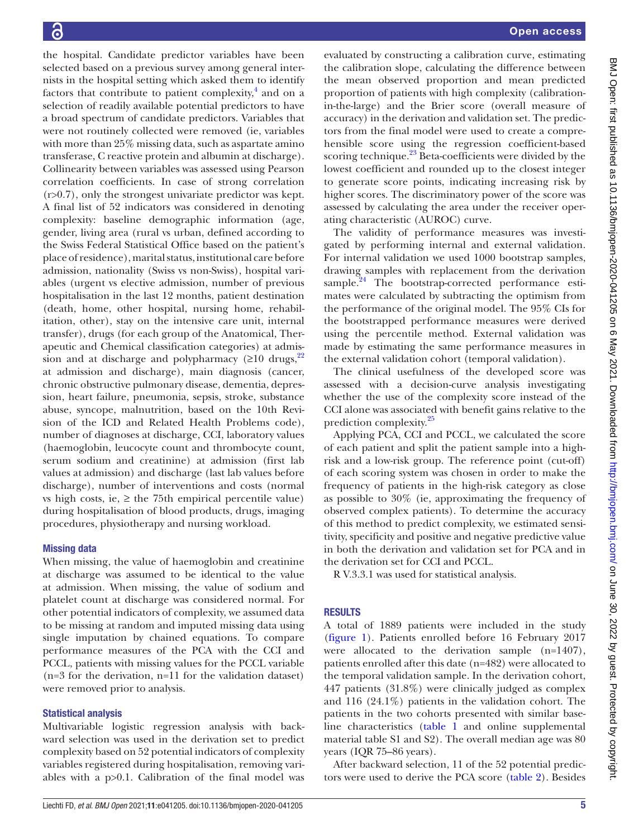the hospital. Candidate predictor variables have been selected based on a previous survey among general internists in the hospital setting which asked them to identify factors that contribute to patient complexity, $4$  and on a selection of readily available potential predictors to have a broad spectrum of candidate predictors. Variables that were not routinely collected were removed (ie, variables with more than 25% missing data, such as aspartate amino transferase, C reactive protein and albumin at discharge). Collinearity between variables was assessed using Pearson correlation coefficients. In case of strong correlation (r>0.7), only the strongest univariate predictor was kept. A final list of 52 indicators was considered in denoting complexity: baseline demographic information (age, gender, living area (rural vs urban, defined according to the Swiss Federal Statistical Office based on the patient's place of residence), marital status, institutional care before admission, nationality (Swiss vs non-Swiss), hospital variables (urgent vs elective admission, number of previous hospitalisation in the last 12 months, patient destination (death, home, other hospital, nursing home, rehabilitation, other), stay on the intensive care unit, internal transfer), drugs (for each group of the Anatomical, Therapeutic and Chemical classification categories) at admission and at discharge and polypharmacy ( $\geq 10$  drugs,<sup>[22](#page-8-10)</sup> at admission and discharge), main diagnosis (cancer, chronic obstructive pulmonary disease, dementia, depression, heart failure, pneumonia, sepsis, stroke, substance abuse, syncope, malnutrition, based on the 10th Revision of the ICD and Related Health Problems code), number of diagnoses at discharge, CCI, laboratory values (haemoglobin, leucocyte count and thrombocyte count, serum sodium and creatinine) at admission (first lab values at admission) and discharge (last lab values before discharge), number of interventions and costs (normal vs high costs, ie,  $\geq$  the 75th empirical percentile value) during hospitalisation of blood products, drugs, imaging procedures, physiotherapy and nursing workload.

# Missing data

When missing, the value of haemoglobin and creatinine at discharge was assumed to be identical to the value at admission. When missing, the value of sodium and platelet count at discharge was considered normal. For other potential indicators of complexity, we assumed data to be missing at random and imputed missing data using single imputation by chained equations. To compare performance measures of the PCA with the CCI and PCCL, patients with missing values for the PCCL variable (n=3 for the derivation, n=11 for the validation dataset) were removed prior to analysis.

# Statistical analysis

Multivariable logistic regression analysis with backward selection was used in the derivation set to predict complexity based on 52 potential indicators of complexity variables registered during hospitalisation, removing variables with a p>0.1. Calibration of the final model was

evaluated by constructing a calibration curve, estimating the calibration slope, calculating the difference between the mean observed proportion and mean predicted proportion of patients with high complexity (calibrationin-the-large) and the Brier score (overall measure of accuracy) in the derivation and validation set. The predictors from the final model were used to create a comprehensible score using the regression coefficient-based scoring technique.<sup>23</sup> Beta-coefficients were divided by the lowest coefficient and rounded up to the closest integer to generate score points, indicating increasing risk by higher scores. The discriminatory power of the score was assessed by calculating the area under the receiver operating characteristic (AUROC) curve.

The validity of performance measures was investigated by performing internal and external validation. For internal validation we used 1000 bootstrap samples, drawing samples with replacement from the derivation sample. $^{24}$  The bootstrap-corrected performance estimates were calculated by subtracting the optimism from the performance of the original model. The 95% CIs for the bootstrapped performance measures were derived using the percentile method. External validation was made by estimating the same performance measures in the external validation cohort (temporal validation).

The clinical usefulness of the developed score was assessed with a decision-curve analysis investigating whether the use of the complexity score instead of the CCI alone was associated with benefit gains relative to the prediction complexity.<sup>[25](#page-8-13)</sup>

Applying PCA, CCI and PCCL, we calculated the score of each patient and split the patient sample into a highrisk and a low-risk group. The reference point (cut-off) of each scoring system was chosen in order to make the frequency of patients in the high-risk category as close as possible to 30% (ie, approximating the frequency of observed complex patients). To determine the accuracy of this method to predict complexity, we estimated sensitivity, specificity and positive and negative predictive value in both the derivation and validation set for PCA and in the derivation set for CCI and PCCL.

R V.3.3.1 was used for statistical analysis.

# **RESULTS**

A total of 1889 patients were included in the study [\(figure](#page-3-0) 1). Patients enrolled before 16 February 2017 were allocated to the derivation sample (n=1407), patients enrolled after this date (n=482) were allocated to the temporal validation sample. In the derivation cohort, 447 patients (31.8%) were clinically judged as complex and 116 (24.1%) patients in the validation cohort. The patients in the two cohorts presented with similar baseline characteristics [\(table](#page-1-0) 1 and [online supplemental](https://dx.doi.org/10.1136/bmjopen-2020-041205)  [material table S1 and S2](https://dx.doi.org/10.1136/bmjopen-2020-041205)). The overall median age was 80 years (IQR 75–86 years).

After backward selection, 11 of the 52 potential predictors were used to derive the PCA score [\(table](#page-5-0) 2). Besides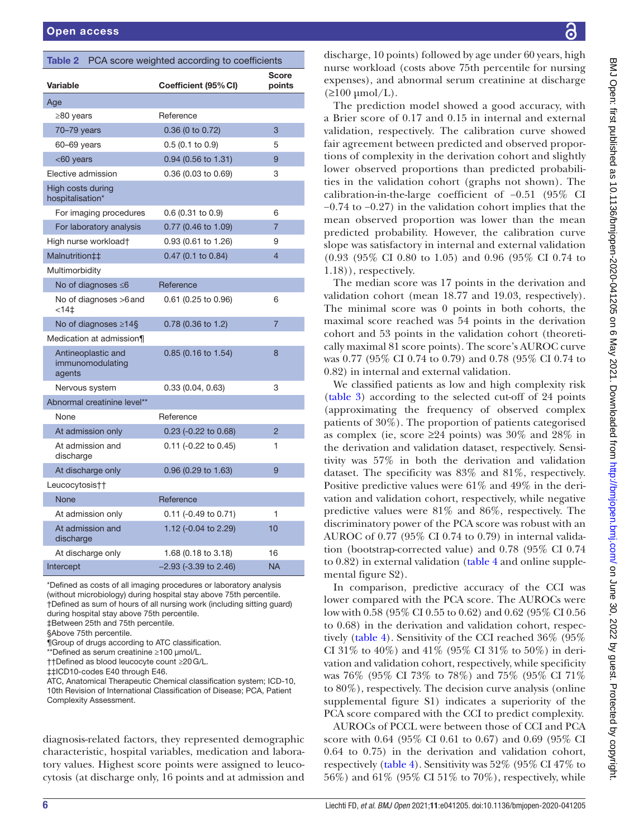<span id="page-5-0"></span>

| PCA score weighted according to coefficients<br>Table 2 |                         |                 |  |  |
|---------------------------------------------------------|-------------------------|-----------------|--|--|
| Variable                                                | Coefficient (95% CI)    | Score<br>points |  |  |
| Age                                                     |                         |                 |  |  |
| $\geq$ 80 years                                         | Reference               |                 |  |  |
| 70-79 years                                             | 0.36 (0 to 0.72)        | 3               |  |  |
| 60-69 years                                             | $0.5$ (0.1 to 0.9)      | 5               |  |  |
| <60 years                                               | 0.94 (0.56 to 1.31)     | 9               |  |  |
| Elective admission                                      | 0.36 (0.03 to 0.69)     | 3               |  |  |
| High costs during<br>hospitalisation*                   |                         |                 |  |  |
| For imaging procedures                                  | $0.6$ (0.31 to 0.9)     | 6               |  |  |
| For laboratory analysis                                 | 0.77 (0.46 to 1.09)     | $\overline{7}$  |  |  |
| High nurse workload†                                    | 0.93 (0.61 to 1.26)     | 9               |  |  |
| Malnutrition##                                          | 0.47 (0.1 to 0.84)      | $\overline{4}$  |  |  |
| Multimorbidity                                          |                         |                 |  |  |
| No of diagnoses $\leq 6$                                | Reference               |                 |  |  |
| No of diagnoses >6 and<br>< 141                         | 0.61 (0.25 to 0.96)     | 6               |  |  |
| No of diagnoses $\geq 14$ §                             | 0.78 (0.36 to 1.2)      | $\overline{7}$  |  |  |
| Medication at admission¶                                |                         |                 |  |  |
| Antineoplastic and<br>immunomodulating<br>agents        | $0.85$ (0.16 to 1.54)   | 8               |  |  |
| Nervous system                                          | 0.33(0.04, 0.63)        | 3               |  |  |
| Abnormal creatinine level**                             |                         |                 |  |  |
| None                                                    | Reference               |                 |  |  |
| At admission only                                       | 0.23 (-0.22 to 0.68)    | $\overline{2}$  |  |  |
| At admission and<br>discharge                           | $0.11$ (-0.22 to 0.45)  | 1               |  |  |
| At discharge only                                       | 0.96 (0.29 to 1.63)     | 9               |  |  |
| Leucocytosis††                                          |                         |                 |  |  |
| <b>None</b>                                             | Reference               |                 |  |  |
| At admission only                                       | $0.11$ (-0.49 to 0.71)  | 1               |  |  |
| At admission and<br>discharge                           | 1.12 (-0.04 to 2.29)    | 10              |  |  |
| At discharge only                                       | 1.68 (0.18 to 3.18)     | 16              |  |  |
| Intercept                                               | $-2.93$ (-3.39 to 2.46) | <b>NA</b>       |  |  |

\*Defined as costs of all imaging procedures or laboratory analysis (without microbiology) during hospital stay above 75th percentile. †Defined as sum of hours of all nursing work (including sitting guard) during hospital stay above 75th percentile. ‡Between 25th and 75th percentile.

§Above 75th percentile.

\*\*Defined as serum creatinine ≥100 µmol/L. ††Defined as blood leucocyte count ≥20G/L.

‡‡ICD10-codes E40 through E46.

ATC, Anatomical Therapeutic Chemical classification system; ICD-10,

10th Revision of International Classification of Disease; PCA, Patient Complexity Assessment.

diagnosis-related factors, they represented demographic characteristic, hospital variables, medication and laboratory values. Highest score points were assigned to leucocytosis (at discharge only, 16 points and at admission and

discharge, 10 points) followed by age under 60 years, high nurse workload (costs above 75th percentile for nursing expenses), and abnormal serum creatinine at discharge  $(\geq 100 \mu \mathrm{mol/L}).$ 

The prediction model showed a good accuracy, with a Brier score of 0.17 and 0.15 in internal and external validation, respectively. The calibration curve showed fair agreement between predicted and observed proportions of complexity in the derivation cohort and slightly lower observed proportions than predicted probabilities in the validation cohort (graphs not shown). The calibration-in-the-large coefficient of −0.51 (95% CI −0.74 to −0.27) in the validation cohort implies that the mean observed proportion was lower than the mean predicted probability. However, the calibration curve slope was satisfactory in internal and external validation (0.93 (95% CI 0.80 to 1.05) and 0.96 (95% CI 0.74 to 1.18)), respectively.

The median score was 17 points in the derivation and validation cohort (mean 18.77 and 19.03, respectively). The minimal score was 0 points in both cohorts, the maximal score reached was 54 points in the derivation cohort and 53 points in the validation cohort (theoretically maximal 81 score points). The score's AUROC curve was 0.77 (95% CI 0.74 to 0.79) and 0.78 (95% CI 0.74 to 0.82) in internal and external validation.

We classified patients as low and high complexity risk [\(table](#page-6-0) 3) according to the selected cut-off of 24 points (approximating the frequency of observed complex patients of 30%). The proportion of patients categorised as complex (ie, score  $\geq 24$  points) was 30% and 28% in the derivation and validation dataset, respectively. Sensitivity was 57% in both the derivation and validation dataset. The specificity was 83% and 81%, respectively. Positive predictive values were 61% and 49% in the derivation and validation cohort, respectively, while negative predictive values were 81% and 86%, respectively. The discriminatory power of the PCA score was robust with an AUROC of 0.77 (95% CI 0.74 to 0.79) in internal validation (bootstrap-corrected value) and 0.78 (95% CI 0.74 to 0.82) in external validation [\(table](#page-6-1) 4 and [online supple](https://dx.doi.org/10.1136/bmjopen-2020-041205)[mental figure S2\)](https://dx.doi.org/10.1136/bmjopen-2020-041205).

In comparison, predictive accuracy of the CCI was lower compared with the PCA score. The AUROCs were low with 0.58 (95% CI 0.55 to 0.62) and 0.62 (95% CI 0.56 to 0.68) in the derivation and validation cohort, respectively [\(table](#page-6-1) 4). Sensitivity of the CCI reached 36% (95% CI 31\% to 40\%) and 41\% (95\% CI 31\% to 50\%) in derivation and validation cohort, respectively, while specificity was 76% (95% CI 73% to 78%) and 75% (95% CI 71% to 80%), respectively. The decision curve analysis ([online](https://dx.doi.org/10.1136/bmjopen-2020-041205)  [supplemental figure S1](https://dx.doi.org/10.1136/bmjopen-2020-041205)) indicates a superiority of the PCA score compared with the CCI to predict complexity.

AUROCs of PCCL were between those of CCI and PCA score with 0.64 (95% CI 0.61 to 0.67) and 0.69 (95% CI 0.64 to 0.75) in the derivation and validation cohort, respectively ([table](#page-6-1) 4). Sensitivity was 52% (95% CI 47% to 56%) and 61% (95% CI 51% to 70%), respectively, while

<sup>¶</sup>Group of drugs according to ATC classification.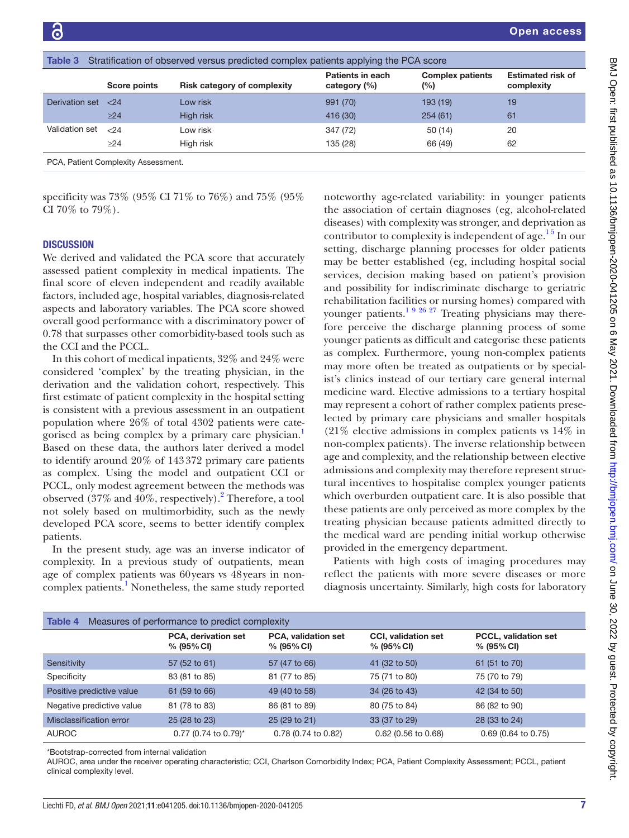<span id="page-6-0"></span>

| Table 3<br>Stratification of observed versus predicted complex patients applying the PCA score |              |                                    |                                  |                                   |                                        |
|------------------------------------------------------------------------------------------------|--------------|------------------------------------|----------------------------------|-----------------------------------|----------------------------------------|
|                                                                                                | Score points | <b>Risk category of complexity</b> | Patients in each<br>category (%) | <b>Complex patients</b><br>$(\%)$ | <b>Estimated risk of</b><br>complexity |
| Derivation set                                                                                 | ${<}24$      | Low risk                           | 991 (70)                         | 193 (19)                          | 19                                     |
|                                                                                                | $>24$        | High risk                          | 416 (30)                         | 254(61)                           | 61                                     |
| Validation set                                                                                 | < 24         | Low risk                           | 347 (72)                         | 50(14)                            | 20                                     |
|                                                                                                | >24          | High risk                          | 135 (28)                         | 66 (49)                           | 62                                     |
|                                                                                                |              |                                    |                                  |                                   |                                        |

PCA, Patient Complexity Assessment.

specificity was 73% (95% CI 71% to 76%) and 75% (95% CI 70% to 79%).

## **DISCUSSION**

We derived and validated the PCA score that accurately assessed patient complexity in medical inpatients. The final score of eleven independent and readily available factors, included age, hospital variables, diagnosis-related aspects and laboratory variables. The PCA score showed overall good performance with a discriminatory power of 0.78 that surpasses other comorbidity-based tools such as the CCI and the PCCL.

In this cohort of medical inpatients, 32% and 24% were considered 'complex' by the treating physician, in the derivation and the validation cohort, respectively. This first estimate of patient complexity in the hospital setting is consistent with a previous assessment in an outpatient population where 26% of total 4302 patients were categorised as being complex by a primary care physician.[1](#page-8-0) Based on these data, the authors later derived a model to identify around 20% of 143372 primary care patients as complex. Using the model and outpatient CCI or PCCL, only modest agreement between the methods was observed  $(37\%$  and  $40\%$ , respectively).<sup>[2](#page-8-1)</sup> Therefore, a tool not solely based on multimorbidity, such as the newly developed PCA score, seems to better identify complex patients.

In the present study, age was an inverse indicator of complexity. In a previous study of outpatients, mean age of complex patients was 60years vs 48years in non-complex patients.<sup>[1](#page-8-0)</sup> Nonetheless, the same study reported

noteworthy age-related variability: in younger patients the association of certain diagnoses (eg, alcohol-related diseases) with complexity was stronger, and deprivation as contributor to complexity is independent of age.<sup>15</sup> In our setting, discharge planning processes for older patients may be better established (eg, including hospital social services, decision making based on patient's provision and possibility for indiscriminate discharge to geriatric rehabilitation facilities or nursing homes) compared with younger patients.<sup>1 9 26 27</sup> Treating physicians may therefore perceive the discharge planning process of some younger patients as difficult and categorise these patients as complex. Furthermore, young non-complex patients may more often be treated as outpatients or by specialist's clinics instead of our tertiary care general internal medicine ward. Elective admissions to a tertiary hospital may represent a cohort of rather complex patients preselected by primary care physicians and smaller hospitals (21% elective admissions in complex patients vs 14% in non-complex patients). The inverse relationship between age and complexity, and the relationship between elective admissions and complexity may therefore represent structural incentives to hospitalise complex younger patients which overburden outpatient care. It is also possible that these patients are only perceived as more complex by the treating physician because patients admitted directly to the medical ward are pending initial workup otherwise provided in the emergency department.

Patients with high costs of imaging procedures may reflect the patients with more severe diseases or more diagnosis uncertainty. Similarly, high costs for laboratory

<span id="page-6-1"></span>

| Table 4<br>Measures of performance to predict complexity |                                      |                                             |                                             |                                              |  |
|----------------------------------------------------------|--------------------------------------|---------------------------------------------|---------------------------------------------|----------------------------------------------|--|
|                                                          | PCA, derivation set<br>$% (95\% CI)$ | <b>PCA, validation set</b><br>$% (95\% CI)$ | <b>CCI, validation set</b><br>$% (95\% CI)$ | <b>PCCL.</b> validation set<br>$% (95\% CI)$ |  |
| Sensitivity                                              | 57 (52 to 61)                        | 57 (47 to 66)                               | 41 (32 to 50)                               | 61 (51 to 70)                                |  |
| Specificity                                              | 83 (81 to 85)                        | 81 (77 to 85)                               | 75 (71 to 80)                               | 75 (70 to 79)                                |  |
| Positive predictive value                                | 61 (59 to 66)                        | 49 (40 to 58)                               | 34 (26 to 43)                               | 42 (34 to 50)                                |  |
| Negative predictive value                                | 81 (78 to 83)                        | 86 (81 to 89)                               | 80 (75 to 84)                               | 86 (82 to 90)                                |  |
| Misclassification error                                  | 25 (28 to 23)                        | 25 (29 to 21)                               | 33 (37 to 29)                               | 28 (33 to 24)                                |  |
| <b>AUROC</b>                                             | 0.77 (0.74 to 0.79)*                 | 0.78 (0.74 to 0.82)                         | $0.62$ (0.56 to 0.68)                       | $0.69$ (0.64 to 0.75)                        |  |

\*Bootstrap-corrected from internal validation

AUROC, area under the receiver operating characteristic; CCI, Charlson Comorbidity Index; PCA, Patient Complexity Assessment; PCCL, patient clinical complexity level.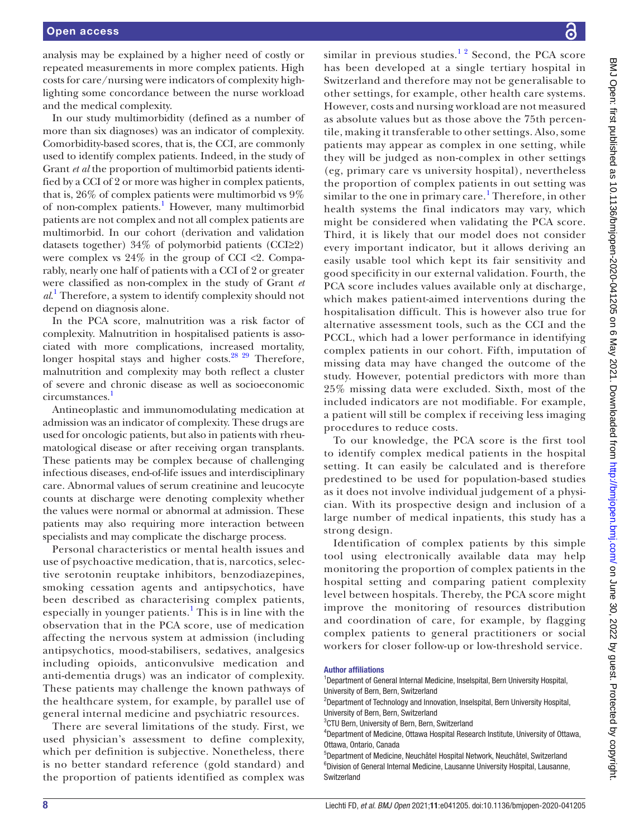analysis may be explained by a higher need of costly or repeated measurements in more complex patients. High costs for care/nursing were indicators of complexity highlighting some concordance between the nurse workload and the medical complexity.

In our study multimorbidity (defined as a number of more than six diagnoses) was an indicator of complexity. Comorbidity-based scores, that is, the CCI, are commonly used to identify complex patients. Indeed, in the study of Grant *et al* the proportion of multimorbid patients identified by a CCI of 2 or more was higher in complex patients, that is, 26% of complex patients were multimorbid vs 9% of non-complex patients.<sup>[1](#page-8-0)</sup> However, many multimorbid patients are not complex and not all complex patients are multimorbid. In our cohort (derivation and validation datasets together) 34% of polymorbid patients (CCI≥2) were complex vs  $24\%$  in the group of CCI <2. Comparably, nearly one half of patients with a CCI of 2 or greater were classified as non-complex in the study of Grant *et al*. [1](#page-8-0) Therefore, a system to identify complexity should not depend on diagnosis alone.

In the PCA score, malnutrition was a risk factor of complexity. Malnutrition in hospitalised patients is associated with more complications, increased mortality, longer hospital stays and higher costs.<sup>28</sup> <sup>29</sup> Therefore, malnutrition and complexity may both reflect a cluster of severe and chronic disease as well as socioeconomic circumstances.<sup>1</sup>

Antineoplastic and immunomodulating medication at admission was an indicator of complexity. These drugs are used for oncologic patients, but also in patients with rheumatological disease or after receiving organ transplants. These patients may be complex because of challenging infectious diseases, end-of-life issues and interdisciplinary care. Abnormal values of serum creatinine and leucocyte counts at discharge were denoting complexity whether the values were normal or abnormal at admission. These patients may also requiring more interaction between specialists and may complicate the discharge process.

Personal characteristics or mental health issues and use of psychoactive medication, that is, narcotics, selective serotonin reuptake inhibitors, benzodiazepines, smoking cessation agents and antipsychotics, have been described as characterising complex patients, especially in younger patients.<sup>[1](#page-8-0)</sup> This is in line with the observation that in the PCA score, use of medication affecting the nervous system at admission (including antipsychotics, mood-stabilisers, sedatives, analgesics including opioids, anticonvulsive medication and anti-dementia drugs) was an indicator of complexity. These patients may challenge the known pathways of the healthcare system, for example, by parallel use of general internal medicine and psychiatric resources.

There are several limitations of the study. First, we used physician's assessment to define complexity, which per definition is subjective. Nonetheless, there is no better standard reference (gold standard) and the proportion of patients identified as complex was

similar in previous studies.<sup>12</sup> Second, the PCA score has been developed at a single tertiary hospital in Switzerland and therefore may not be generalisable to other settings, for example, other health care systems. However, costs and nursing workload are not measured as absolute values but as those above the 75th percentile, making it transferable to other settings. Also, some patients may appear as complex in one setting, while they will be judged as non-complex in other settings (eg, primary care vs university hospital), nevertheless the proportion of complex patients in out setting was similar to the one in primary care.<sup>[1](#page-8-0)</sup> Therefore, in other health systems the final indicators may vary, which might be considered when validating the PCA score. Third, it is likely that our model does not consider every important indicator, but it allows deriving an easily usable tool which kept its fair sensitivity and good specificity in our external validation. Fourth, the PCA score includes values available only at discharge, which makes patient-aimed interventions during the hospitalisation difficult. This is however also true for alternative assessment tools, such as the CCI and the PCCL, which had a lower performance in identifying complex patients in our cohort. Fifth, imputation of missing data may have changed the outcome of the study. However, potential predictors with more than 25% missing data were excluded. Sixth, most of the included indicators are not modifiable. For example, a patient will still be complex if receiving less imaging procedures to reduce costs.

To our knowledge, the PCA score is the first tool to identify complex medical patients in the hospital setting. It can easily be calculated and is therefore predestined to be used for population-based studies as it does not involve individual judgement of a physician. With its prospective design and inclusion of a large number of medical inpatients, this study has a strong design.

Identification of complex patients by this simple tool using electronically available data may help monitoring the proportion of complex patients in the hospital setting and comparing patient complexity level between hospitals. Thereby, the PCA score might improve the monitoring of resources distribution and coordination of care, for example, by flagging complex patients to general practitioners or social workers for closer follow-up or low-threshold service.

#### Author affiliations

<sup>&</sup>lt;sup>1</sup>Department of General Internal Medicine, Inselspital, Bern University Hospital, University of Bern, Bern, Switzerland

<sup>&</sup>lt;sup>2</sup>Department of Technology and Innovation, Inselspital, Bern University Hospital, University of Bern, Bern, Switzerland

<sup>&</sup>lt;sup>3</sup>CTU Bern, University of Bern, Bern, Switzerland

<sup>4</sup> Department of Medicine, Ottawa Hospital Research Institute, University of Ottawa, Ottawa, Ontario, Canada

<sup>5</sup> Department of Medicine, Neuchâtel Hospital Network, Neuchâtel, Switzerland 6 Division of General Internal Medicine, Lausanne University Hospital, Lausanne, **Switzerland**